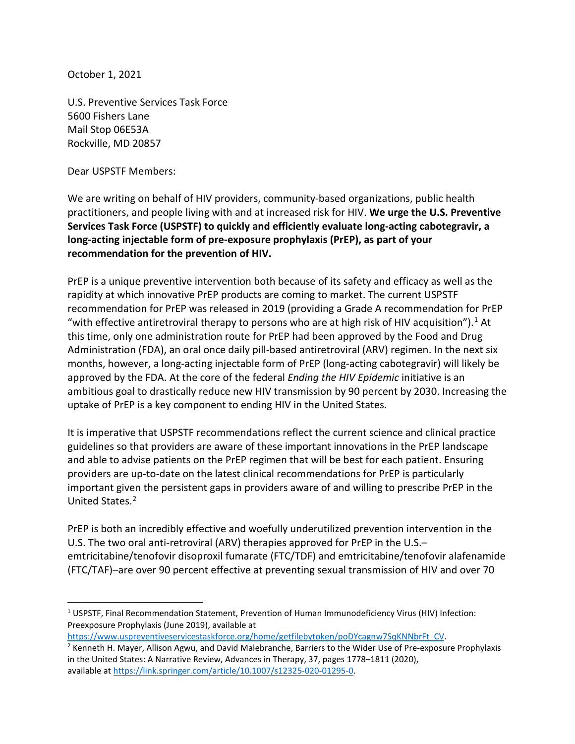October 1, 2021

U.S. Preventive Services Task Force 5600 Fishers Lane Mail Stop 06E53A Rockville, MD 20857

Dear USPSTF Members:

We are writing on behalf of HIV providers, community-based organizations, public health practitioners, and people living with and at increased risk for HIV. **We urge the U.S. Preventive Services Task Force (USPSTF) to quickly and efficiently evaluate long-acting cabotegravir, a long-acting injectable form of pre-exposure prophylaxis (PrEP), as part of your recommendation for the prevention of HIV.** 

PrEP is a unique preventive intervention both because of its safety and efficacy as well as the rapidity at which innovative PrEP products are coming to market. The current USPSTF recommendation for PrEP was released in 2019 (providing a Grade A recommendation for PrEP "with effective antiretroviral therapy to persons who are at high risk of HIV acquisition").<sup>[1](#page-0-0)</sup> At this time, only one administration route for PrEP had been approved by the Food and Drug Administration (FDA), an oral once daily pill-based antiretroviral (ARV) regimen. In the next six months, however, a long-acting injectable form of PrEP (long-acting cabotegravir) will likely be approved by the FDA. At the core of the federal *Ending the HIV Epidemic* initiative is an ambitious goal to drastically reduce new HIV transmission by 90 percent by 2030. Increasing the uptake of PrEP is a key component to ending HIV in the United States.

It is imperative that USPSTF recommendations reflect the current science and clinical practice guidelines so that providers are aware of these important innovations in the PrEP landscape and able to advise patients on the PrEP regimen that will be best for each patient. Ensuring providers are up-to-date on the latest clinical recommendations for PrEP is particularly important given the persistent gaps in providers aware of and willing to prescribe PrEP in the United States.[2](#page-0-1)

PrEP is both an incredibly effective and woefully underutilized prevention intervention in the U.S. The two oral anti-retroviral (ARV) therapies approved for PrEP in the U.S.– emtricitabine/tenofovir disoproxil fumarate (FTC/TDF) and emtricitabine/tenofovir alafenamide (FTC/TAF)–are over 90 percent effective at preventing sexual transmission of HIV and over 70

<span id="page-0-0"></span><sup>1</sup> USPSTF, Final Recommendation Statement, Prevention of Human Immunodeficiency Virus (HIV) Infection: Preexposure Prophylaxis (June 2019), available at

<span id="page-0-1"></span>https://www.uspreventiveservicestaskforce.org/home/getfilebytoken/poDYcagnw7SqKNNbrFt\_CV.<br><sup>2</sup> Kenneth H. Mayer, Allison Agwu, and David Malebranche, Barriers to the Wider Use of Pre-exposure Prophylaxis in the United States: A Narrative Review, Advances in Therapy, 37, pages 1778–1811 (2020), available a[t https://link.springer.com/article/10.1007/s12325-020-01295-0.](https://link.springer.com/article/10.1007/s12325-020-01295-0)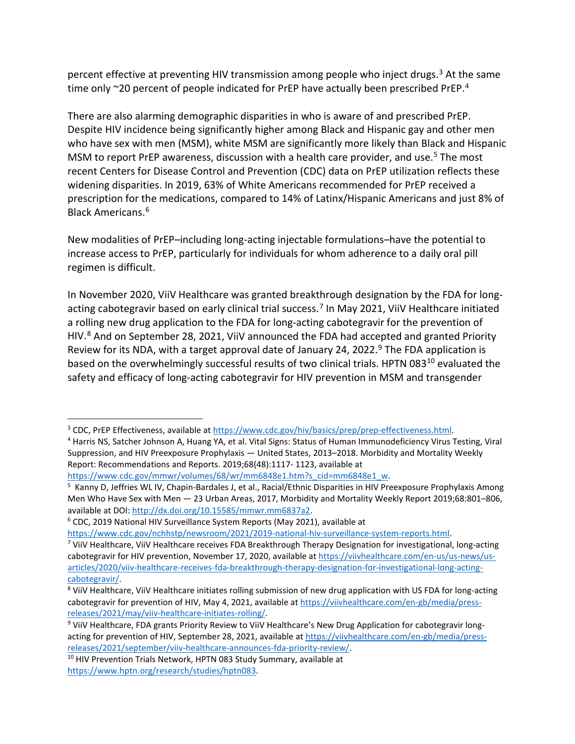percent effective at preventing HIV transmission among people who inject drugs.<sup>[3](#page-1-0)</sup> At the same time only ~20 percent of people indicated for PrEP have actually been prescribed PrEP.<sup>4</sup>

There are also alarming demographic disparities in who is aware of and prescribed PrEP. Despite HIV incidence being significantly higher among Black and Hispanic gay and other men who have sex with men (MSM), white MSM are significantly more likely than Black and Hispanic MSM to report PrEP awareness, discussion with a health care provider, and use.<sup>[5](#page-1-2)</sup> The most recent Centers for Disease Control and Prevention (CDC) data on PrEP utilization reflects these widening disparities. In 2019, 63% of White Americans recommended for PrEP received a prescription for the medications, compared to 14% of Latinx/Hispanic Americans and just 8% of Black Americans.[6](#page-1-3)

New modalities of PrEP–including long-acting injectable formulations–have the potential to increase access to PrEP, particularly for individuals for whom adherence to a daily oral pill regimen is difficult.

In November 2020, ViiV Healthcare was granted breakthrough designation by the FDA for long-acting cabotegravir based on early clinical trial success.<sup>[7](#page-1-4)</sup> In May 2021, ViiV Healthcare initiated a rolling new drug application to the FDA for long-acting cabotegravir for the prevention of HIV.<sup>[8](#page-1-5)</sup> And on September 28, 2021, ViiV announced the FDA had accepted and granted Priority Review for its NDA, with a target approval date of January 24, 2022.<sup>[9](#page-1-6)</sup> The FDA application is based on the overwhelmingly successful results of two clinical trials. HPTN 083<sup>[10](#page-1-7)</sup> evaluated the safety and efficacy of long-acting cabotegravir for HIV prevention in MSM and transgender

<span id="page-1-3"></span><sup>6</sup> CDC, 2019 National HIV Surveillance System Reports (May 2021), available at

<span id="page-1-1"></span><span id="page-1-0"></span><sup>&</sup>lt;sup>3</sup> CDC, PrEP Effectiveness, available at [https://www.cdc.gov/hiv/basics/prep/prep-effectiveness.html.](https://www.cdc.gov/hiv/basics/prep/prep-effectiveness.html)<br><sup>4</sup> Harris NS, Satcher Johnson A, Huang YA, et al. Vital Signs: Status of Human Immunodeficiency Virus Testing, Viral Suppression, and HIV Preexposure Prophylaxis — United States, 2013–2018. Morbidity and Mortality Weekly Report: Recommendations and Reports. 2019;68(48):1117- 1123, available at

[https://www.cdc.gov/mmwr/volumes/68/wr/mm6848e1.htm?s\\_cid=mm6848e1\\_w.](https://www.cdc.gov/mmwr/volumes/68/wr/mm6848e1.htm?s_cid=mm6848e1_w)

<span id="page-1-2"></span><sup>&</sup>lt;sup>5</sup> Kanny D, Jeffries WL IV, Chapin-Bardales J, et al., Racial/Ethnic Disparities in HIV Preexposure Prophylaxis Among Men Who Have Sex with Men — 23 Urban Areas, 2017, Morbidity and Mortality Weekly Report 2019;68:801–806, available at DOI: [http://dx.doi.org/10.15585/mmwr.mm6837a2.](http://dx.doi.org/10.15585/mmwr.mm6837a2)

[https://www.cdc.gov/nchhstp/newsroom/2021/2019-national-hiv-surveillance-system-reports.html.](https://www.cdc.gov/nchhstp/newsroom/2021/2019-national-hiv-surveillance-system-reports.html)<br><sup>7</sup> ViiV Healthcare, ViiV Healthcare receives FDA Breakthrough Therapy Designation for investigational, long-acting

<span id="page-1-4"></span>cabotegravir for HIV prevention, November 17, 2020, available a[t https://viivhealthcare.com/en-us/us-news/us](https://viivhealthcare.com/en-us/us-news/us-articles/2020/viiv-healthcare-receives-fda-breakthrough-therapy-designation-for-investigational-long-acting-cabotegravir/)[articles/2020/viiv-healthcare-receives-fda-breakthrough-therapy-designation-for-investigational-long-acting](https://viivhealthcare.com/en-us/us-news/us-articles/2020/viiv-healthcare-receives-fda-breakthrough-therapy-designation-for-investigational-long-acting-cabotegravir/)[cabotegravir/.](https://viivhealthcare.com/en-us/us-news/us-articles/2020/viiv-healthcare-receives-fda-breakthrough-therapy-designation-for-investigational-long-acting-cabotegravir/)

<span id="page-1-5"></span><sup>8</sup> ViiV Healthcare, ViiV Healthcare initiates rolling submission of new drug application with US FDA for long-acting cabotegravir for prevention of HIV, May 4, 2021, available at [https://viivhealthcare.com/en-gb/media/press](https://viivhealthcare.com/en-gb/media/press-releases/2021/may/viiv-healthcare-initiates-rolling/)[releases/2021/may/viiv-healthcare-initiates-rolling/.](https://viivhealthcare.com/en-gb/media/press-releases/2021/may/viiv-healthcare-initiates-rolling/)

<span id="page-1-6"></span><sup>&</sup>lt;sup>9</sup> ViiV Healthcare, FDA grants Priority Review to ViiV Healthcare's New Drug Application for cabotegravir longacting for prevention of HIV, September 28, 2021, available a[t https://viivhealthcare.com/en-gb/media/press](https://viivhealthcare.com/en-gb/media/press-releases/2021/september/viiv-healthcare-announces-fda-priority-review/)[releases/2021/september/viiv-healthcare-announces-fda-priority-review/.](https://viivhealthcare.com/en-gb/media/press-releases/2021/september/viiv-healthcare-announces-fda-priority-review/) 10 HIV Prevention Trials Network, HPTN 083 Study Summary, available at

<span id="page-1-7"></span>[https://www.hptn.org/research/studies/hptn083.](https://www.hptn.org/research/studies/hptn083)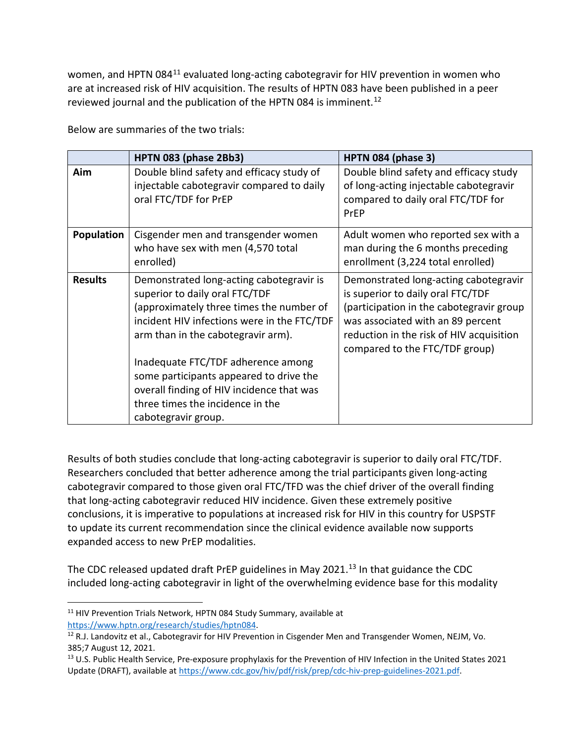women, and HPTN 084<sup>[11](#page-2-0)</sup> evaluated long-acting cabotegravir for HIV prevention in women who are at increased risk of HIV acquisition. The results of HPTN 083 have been published in a peer reviewed journal and the publication of the HPTN 084 is imminent.<sup>[12](#page-2-1)</sup>

|                   | HPTN 083 (phase 2Bb3)                                                                                                                                                                                       | HPTN 084 (phase 3)                                                                                                                                                                                                                        |
|-------------------|-------------------------------------------------------------------------------------------------------------------------------------------------------------------------------------------------------------|-------------------------------------------------------------------------------------------------------------------------------------------------------------------------------------------------------------------------------------------|
| Aim               | Double blind safety and efficacy study of<br>injectable cabotegravir compared to daily<br>oral FTC/TDF for PrEP                                                                                             | Double blind safety and efficacy study<br>of long-acting injectable cabotegravir<br>compared to daily oral FTC/TDF for<br>PrEP                                                                                                            |
| <b>Population</b> | Cisgender men and transgender women<br>who have sex with men (4,570 total<br>enrolled)                                                                                                                      | Adult women who reported sex with a<br>man during the 6 months preceding<br>enrollment (3,224 total enrolled)                                                                                                                             |
| <b>Results</b>    | Demonstrated long-acting cabotegravir is<br>superior to daily oral FTC/TDF<br>(approximately three times the number of<br>incident HIV infections were in the FTC/TDF<br>arm than in the cabotegravir arm). | Demonstrated long-acting cabotegravir<br>is superior to daily oral FTC/TDF<br>(participation in the cabotegravir group<br>was associated with an 89 percent<br>reduction in the risk of HIV acquisition<br>compared to the FTC/TDF group) |
|                   | Inadequate FTC/TDF adherence among<br>some participants appeared to drive the<br>overall finding of HIV incidence that was<br>three times the incidence in the<br>cabotegravir group.                       |                                                                                                                                                                                                                                           |

Below are summaries of the two trials:

Results of both studies conclude that long-acting cabotegravir is superior to daily oral FTC/TDF. Researchers concluded that better adherence among the trial participants given long-acting cabotegravir compared to those given oral FTC/TFD was the chief driver of the overall finding that long-acting cabotegravir reduced HIV incidence. Given these extremely positive conclusions, it is imperative to populations at increased risk for HIV in this country for USPSTF to update its current recommendation since the clinical evidence available now supports expanded access to new PrEP modalities.

The CDC released updated draft PrEP guidelines in May 2021.<sup>13</sup> In that guidance the CDC included long-acting cabotegravir in light of the overwhelming evidence base for this modality

<span id="page-2-0"></span><sup>&</sup>lt;sup>11</sup> HIV Prevention Trials Network, HPTN 084 Study Summary, available at

<span id="page-2-1"></span>[https://www.hptn.org/research/studies/hptn084.](https://www.hptn.org/research/studies/hptn084)<br><sup>12</sup> R.J. Landovitz et al., Cabotegravir for HIV Prevention in Cisgender Men and Transgender Women, NEJM, Vo. 385;7 August 12, 2021.

<span id="page-2-2"></span><sup>&</sup>lt;sup>13</sup> U.S. Public Health Service, Pre-exposure prophylaxis for the Prevention of HIV Infection in the United States 2021 Update (DRAFT), available a[t https://www.cdc.gov/hiv/pdf/risk/prep/cdc-hiv-prep-guidelines-2021.pdf.](https://www.cdc.gov/hiv/pdf/risk/prep/cdc-hiv-prep-guidelines-2021.pdf)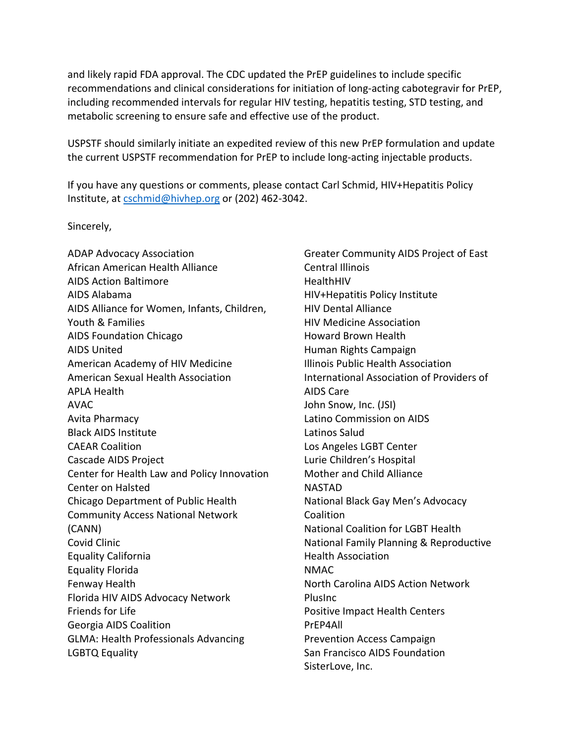and likely rapid FDA approval. The CDC updated the PrEP guidelines to include specific recommendations and clinical considerations for initiation of long-acting cabotegravir for PrEP, including recommended intervals for regular HIV testing, hepatitis testing, STD testing, and metabolic screening to ensure safe and effective use of the product.

USPSTF should similarly initiate an expedited review of this new PrEP formulation and update the current USPSTF recommendation for PrEP to include long-acting injectable products.

If you have any questions or comments, please contact Carl Schmid, HIV+Hepatitis Policy Institute, at [cschmid@hivhep.org](mailto:cschmid@hivhep.org) or (202) 462-3042.

Sincerely,

ADAP Advocacy Association African American Health Alliance AIDS Action Baltimore AIDS Alabama AIDS Alliance for Women, Infants, Children, Youth & Families AIDS Foundation Chicago AIDS United American Academy of HIV Medicine American Sexual Health Association APLA Health AVAC Avita Pharmacy Black AIDS Institute CAEAR Coalition Cascade AIDS Project Center for Health Law and Policy Innovation Center on Halsted Chicago Department of Public Health Community Access National Network (CANN) Covid Clinic Equality California Equality Florida Fenway Health Florida HIV AIDS Advocacy Network Friends for Life Georgia AIDS Coalition GLMA: Health Professionals Advancing LGBTQ Equality

Greater Community AIDS Project of East Central Illinois **HealthHIV** HIV+Hepatitis Policy Institute HIV Dental Alliance HIV Medicine Association Howard Brown Health Human Rights Campaign Illinois Public Health Association International Association of Providers of AIDS Care John Snow, Inc. (JSI) Latino Commission on AIDS Latinos Salud Los Angeles LGBT Center Lurie Children's Hospital Mother and Child Alliance NASTAD National Black Gay Men's Advocacy Coalition National Coalition for LGBT Health National Family Planning & Reproductive Health Association NMAC North Carolina AIDS Action Network PlusInc Positive Impact Health Centers PrEP4All Prevention Access Campaign San Francisco AIDS Foundation SisterLove, Inc.